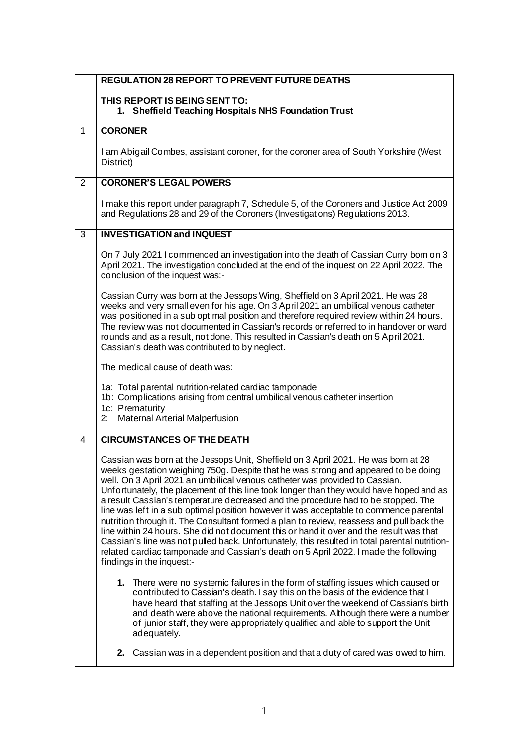|                | <b>REGULATION 28 REPORT TO PREVENT FUTURE DEATHS</b>                                                                                                                                                                                                                                                                                                                                                                                                                                                                                                                                                                                                                                                                                                                                                                                                                                                                                          |
|----------------|-----------------------------------------------------------------------------------------------------------------------------------------------------------------------------------------------------------------------------------------------------------------------------------------------------------------------------------------------------------------------------------------------------------------------------------------------------------------------------------------------------------------------------------------------------------------------------------------------------------------------------------------------------------------------------------------------------------------------------------------------------------------------------------------------------------------------------------------------------------------------------------------------------------------------------------------------|
|                | THIS REPORT IS BEING SENT TO:                                                                                                                                                                                                                                                                                                                                                                                                                                                                                                                                                                                                                                                                                                                                                                                                                                                                                                                 |
|                | 1. Sheffield Teaching Hospitals NHS Foundation Trust                                                                                                                                                                                                                                                                                                                                                                                                                                                                                                                                                                                                                                                                                                                                                                                                                                                                                          |
| 1              | <b>CORONER</b>                                                                                                                                                                                                                                                                                                                                                                                                                                                                                                                                                                                                                                                                                                                                                                                                                                                                                                                                |
|                | I am Abigail Combes, assistant coroner, for the coroner area of South Yorkshire (West<br>District)                                                                                                                                                                                                                                                                                                                                                                                                                                                                                                                                                                                                                                                                                                                                                                                                                                            |
| $\overline{2}$ | <b>CORONER'S LEGAL POWERS</b>                                                                                                                                                                                                                                                                                                                                                                                                                                                                                                                                                                                                                                                                                                                                                                                                                                                                                                                 |
|                | I make this report under paragraph 7, Schedule 5, of the Coroners and Justice Act 2009<br>and Regulations 28 and 29 of the Coroners (Investigations) Regulations 2013.                                                                                                                                                                                                                                                                                                                                                                                                                                                                                                                                                                                                                                                                                                                                                                        |
| 3              | <b>INVESTIGATION and INQUEST</b>                                                                                                                                                                                                                                                                                                                                                                                                                                                                                                                                                                                                                                                                                                                                                                                                                                                                                                              |
|                | On 7 July 2021 I commenced an investigation into the death of Cassian Curry born on 3<br>April 2021. The investigation concluded at the end of the inquest on 22 April 2022. The<br>conclusion of the inquest was:-                                                                                                                                                                                                                                                                                                                                                                                                                                                                                                                                                                                                                                                                                                                           |
|                | Cassian Curry was born at the Jessops Wing, Sheffield on 3 April 2021. He was 28<br>weeks and very small even for his age. On 3 April 2021 an umbilical venous catheter<br>was positioned in a sub optimal position and therefore required review within 24 hours.<br>The review was not documented in Cassian's records or referred to in handover or ward<br>rounds and as a result, not done. This resulted in Cassian's death on 5 April 2021.<br>Cassian's death was contributed to by neglect.                                                                                                                                                                                                                                                                                                                                                                                                                                          |
|                | The medical cause of death was:                                                                                                                                                                                                                                                                                                                                                                                                                                                                                                                                                                                                                                                                                                                                                                                                                                                                                                               |
|                | 1a: Total parental nutrition-related cardiac tamponade<br>1b: Complications arising from central umbilical venous catheter insertion<br>1c: Prematurity<br><b>Maternal Arterial Malperfusion</b><br>2:                                                                                                                                                                                                                                                                                                                                                                                                                                                                                                                                                                                                                                                                                                                                        |
| 4              | <b>CIRCUMSTANCES OF THE DEATH</b>                                                                                                                                                                                                                                                                                                                                                                                                                                                                                                                                                                                                                                                                                                                                                                                                                                                                                                             |
|                | Cassian was born at the Jessops Unit, Sheffield on 3 April 2021. He was born at 28<br>weeks gestation weighing 750g. Despite that he was strong and appeared to be doing<br>well. On 3 April 2021 an umbilical venous catheter was provided to Cassian.<br>Unfortunately, the placement of this line took longer than they would have hoped and as<br>a result Cassian's temperature decreased and the procedure had to be stopped. The<br>line was left in a sub optimal position however it was acceptable to commence parental<br>nutrition through it. The Consultant formed a plan to review, reassess and pull back the<br>line within 24 hours. She did not document this or hand it over and the result was that<br>Cassian's line was not pulled back. Unfortunately, this resulted in total parental nutrition-<br>related cardiac tamponade and Cassian's death on 5 April 2022. I made the following<br>findings in the inquest:- |
|                | 1. There were no systemic failures in the form of staffing issues which caused or<br>contributed to Cassian's death. I say this on the basis of the evidence that I<br>have heard that staffing at the Jessops Unit over the weekend of Cassian's birth<br>and death were above the national requirements. Although there were a number<br>of junior staff, they were appropriately qualified and able to support the Unit<br>adequately.                                                                                                                                                                                                                                                                                                                                                                                                                                                                                                     |
|                | 2. Cassian was in a dependent position and that a duty of cared was owed to him.                                                                                                                                                                                                                                                                                                                                                                                                                                                                                                                                                                                                                                                                                                                                                                                                                                                              |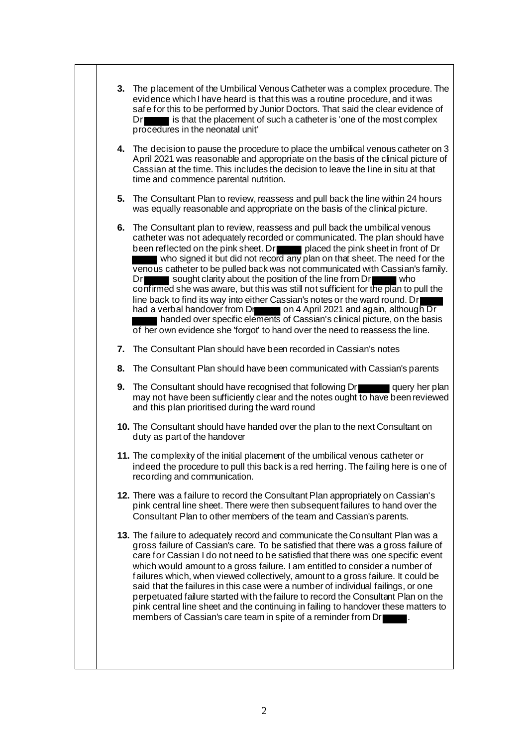|    | 3. The placement of the Umbilical Venous Catheter was a complex procedure. The<br>evidence which I have heard is that this was a routine procedure, and it was<br>safe for this to be performed by Junior Doctors. That said the clear evidence of<br>is that the placement of such a catheter is 'one of the most complex<br>Dr<br>procedures in the neonatal unit'                                                                                                                                                                                                                                                                                                                                                                                                                                                                                                             |
|----|----------------------------------------------------------------------------------------------------------------------------------------------------------------------------------------------------------------------------------------------------------------------------------------------------------------------------------------------------------------------------------------------------------------------------------------------------------------------------------------------------------------------------------------------------------------------------------------------------------------------------------------------------------------------------------------------------------------------------------------------------------------------------------------------------------------------------------------------------------------------------------|
|    | 4. The decision to pause the procedure to place the umbilical venous catheter on 3<br>April 2021 was reasonable and appropriate on the basis of the clinical picture of<br>Cassian at the time. This includes the decision to leave the line in situ at that<br>time and commence parental nutrition.                                                                                                                                                                                                                                                                                                                                                                                                                                                                                                                                                                            |
|    | 5. The Consultant Plan to review, reassess and pull back the line within 24 hours<br>was equally reasonable and appropriate on the basis of the clinical picture.                                                                                                                                                                                                                                                                                                                                                                                                                                                                                                                                                                                                                                                                                                                |
|    | 6. The Consultant plan to review, reassess and pull back the umbilical venous<br>catheter was not adequately recorded or communicated. The plan should have<br>been reflected on the pink sheet. Dream placed the pink sheet in front of Dr<br>who signed it but did not record any plan on that sheet. The need for the<br>venous catheter to be pulled back was not communicated with Cassian's family.<br>Dr sought clarity about the position of the line from Dr<br>confirmed she was aware, but this was still not sufficient for the plan to pull the<br>line back to find its way into either Cassian's notes or the ward round. Dr<br>had a verbal handover from Dr on 4 April 2021 and again, although Dr<br>handed over specific elements of Cassian's clinical picture, on the basis<br>of her own evidence she 'forgot' to hand over the need to reassess the line. |
| 7. | The Consultant Plan should have been recorded in Cassian's notes                                                                                                                                                                                                                                                                                                                                                                                                                                                                                                                                                                                                                                                                                                                                                                                                                 |
| 8. | The Consultant Plan should have been communicated with Cassian's parents                                                                                                                                                                                                                                                                                                                                                                                                                                                                                                                                                                                                                                                                                                                                                                                                         |
|    | 9. The Consultant should have recognised that following Dr query her plan<br>may not have been sufficiently clear and the notes ought to have been reviewed<br>and this plan prioritised during the ward round                                                                                                                                                                                                                                                                                                                                                                                                                                                                                                                                                                                                                                                                   |
|    | 10. The Consultant should have handed over the plan to the next Consultant on<br>duty as part of the handover                                                                                                                                                                                                                                                                                                                                                                                                                                                                                                                                                                                                                                                                                                                                                                    |
|    | 11. The complexity of the initial placement of the umbilical venous catheter or<br>indeed the procedure to pull this back is a red herring. The failing here is one of<br>recording and communication.                                                                                                                                                                                                                                                                                                                                                                                                                                                                                                                                                                                                                                                                           |
|    | 12. There was a failure to record the Consultant Plan appropriately on Cassian's<br>pink central line sheet. There were then subsequent failures to hand over the<br>Consultant Plan to other members of the team and Cassian's parents.                                                                                                                                                                                                                                                                                                                                                                                                                                                                                                                                                                                                                                         |
|    | 13. The failure to adequately record and communicate the Consultant Plan was a<br>gross failure of Cassian's care. To be satisfied that there was a gross failure of<br>care for Cassian I do not need to be satisfied that there was one specific event<br>which would amount to a gross failure. I am entitled to consider a number of<br>failures which, when viewed collectively, amount to a gross failure. It could be<br>said that the failures in this case were a number of individual failings, or one<br>perpetuated failure started with the failure to record the Consultant Plan on the<br>pink central line sheet and the continuing in failing to handover these matters to<br>members of Cassian's care team in spite of a reminder from Dr                                                                                                                     |
|    |                                                                                                                                                                                                                                                                                                                                                                                                                                                                                                                                                                                                                                                                                                                                                                                                                                                                                  |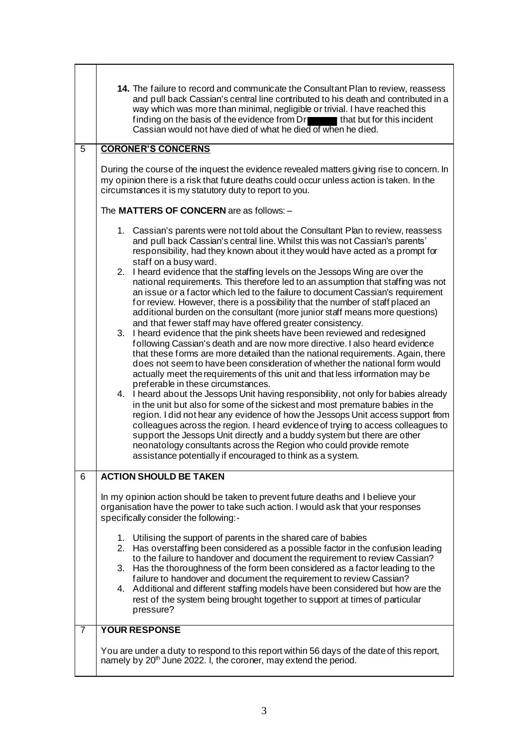|                | 14. The failure to record and communicate the Consultant Plan to review, reassess<br>and pull back Cassian's central line contributed to his death and contributed in a<br>way which was more than minimal, negligible or trivial. I have reached this<br>finding on the basis of the evidence from Dr that but for this incident<br>Cassian would not have died of what he died of when he died.                                                                                                                                                                                                                                                                                                                                                                                                                                                                                                                                                                                                                                                                                                                                                                                                                                                                                                                                                                                                                                                                                                                                                                                                                                                                                                                                                                                       |  |  |
|----------------|-----------------------------------------------------------------------------------------------------------------------------------------------------------------------------------------------------------------------------------------------------------------------------------------------------------------------------------------------------------------------------------------------------------------------------------------------------------------------------------------------------------------------------------------------------------------------------------------------------------------------------------------------------------------------------------------------------------------------------------------------------------------------------------------------------------------------------------------------------------------------------------------------------------------------------------------------------------------------------------------------------------------------------------------------------------------------------------------------------------------------------------------------------------------------------------------------------------------------------------------------------------------------------------------------------------------------------------------------------------------------------------------------------------------------------------------------------------------------------------------------------------------------------------------------------------------------------------------------------------------------------------------------------------------------------------------------------------------------------------------------------------------------------------------|--|--|
| $\overline{5}$ | <b>CORONER'S CONCERNS</b>                                                                                                                                                                                                                                                                                                                                                                                                                                                                                                                                                                                                                                                                                                                                                                                                                                                                                                                                                                                                                                                                                                                                                                                                                                                                                                                                                                                                                                                                                                                                                                                                                                                                                                                                                               |  |  |
|                | During the course of the inquest the evidence revealed matters giving rise to concern. In<br>my opinion there is a risk that future deaths could occur unless action is taken. In the<br>circumstances it is my statutory duty to report to you.                                                                                                                                                                                                                                                                                                                                                                                                                                                                                                                                                                                                                                                                                                                                                                                                                                                                                                                                                                                                                                                                                                                                                                                                                                                                                                                                                                                                                                                                                                                                        |  |  |
|                | The MATTERS OF CONCERN are as follows: -                                                                                                                                                                                                                                                                                                                                                                                                                                                                                                                                                                                                                                                                                                                                                                                                                                                                                                                                                                                                                                                                                                                                                                                                                                                                                                                                                                                                                                                                                                                                                                                                                                                                                                                                                |  |  |
|                | 1. Cassian's parents were not told about the Consultant Plan to review, reassess<br>and pull back Cassian's central line. Whilst this was not Cassian's parents'<br>responsibility, had they known about it they would have acted as a prompt for<br>staff on a busy ward.<br>2. I heard evidence that the staffing levels on the Jessops Wing are over the<br>national requirements. This therefore led to an assumption that staffing was not<br>an issue or a factor which led to the failure to document Cassian's requirement<br>for review. However, there is a possibility that the number of staff placed an<br>additional burden on the consultant (more junior staff means more questions)<br>and that fewer staff may have offered greater consistency.<br>3. I heard evidence that the pink sheets have been reviewed and redesigned<br>following Cassian's death and are now more directive. I also heard evidence<br>that these forms are more detailed than the national requirements. Again, there<br>does not seem to have been consideration of whether the national form would<br>actually meet the requirements of this unit and that less information may be<br>preferable in these circumstances.<br>4. I heard about the Jessops Unit having responsibility, not only for babies already<br>in the unit but also for some of the sickest and most premature babies in the<br>region. I did not hear any evidence of how the Jessops Unit access support from<br>colleagues across the region. I heard evidence of trying to access colleagues to<br>support the Jessops Unit directly and a buddy system but there are other<br>neonatology consultants across the Region who could provide remote<br>assistance potentially if encouraged to think as a system. |  |  |
| 6              | <b>ACTION SHOULD BE TAKEN</b>                                                                                                                                                                                                                                                                                                                                                                                                                                                                                                                                                                                                                                                                                                                                                                                                                                                                                                                                                                                                                                                                                                                                                                                                                                                                                                                                                                                                                                                                                                                                                                                                                                                                                                                                                           |  |  |
|                | In my opinion action should be taken to prevent future deaths and I believe your<br>organisation have the power to take such action. I would ask that your responses<br>specifically consider the following:-                                                                                                                                                                                                                                                                                                                                                                                                                                                                                                                                                                                                                                                                                                                                                                                                                                                                                                                                                                                                                                                                                                                                                                                                                                                                                                                                                                                                                                                                                                                                                                           |  |  |
|                | 1. Utilising the support of parents in the shared care of babies<br>2. Has overstaffing been considered as a possible factor in the confusion leading<br>to the failure to handover and document the requirement to review Cassian?<br>3. Has the thoroughness of the form been considered as a factor leading to the<br>failure to handover and document the requirement to review Cassian?<br>4. Additional and different staffing models have been considered but how are the<br>rest of the system being brought together to support at times of particular<br>pressure?                                                                                                                                                                                                                                                                                                                                                                                                                                                                                                                                                                                                                                                                                                                                                                                                                                                                                                                                                                                                                                                                                                                                                                                                            |  |  |
| 7              | <b>YOUR RESPONSE</b>                                                                                                                                                                                                                                                                                                                                                                                                                                                                                                                                                                                                                                                                                                                                                                                                                                                                                                                                                                                                                                                                                                                                                                                                                                                                                                                                                                                                                                                                                                                                                                                                                                                                                                                                                                    |  |  |
|                | You are under a duty to respond to this report within 56 days of the date of this report,<br>namely by 20 <sup>th</sup> June 2022. I, the coroner, may extend the period.                                                                                                                                                                                                                                                                                                                                                                                                                                                                                                                                                                                                                                                                                                                                                                                                                                                                                                                                                                                                                                                                                                                                                                                                                                                                                                                                                                                                                                                                                                                                                                                                               |  |  |